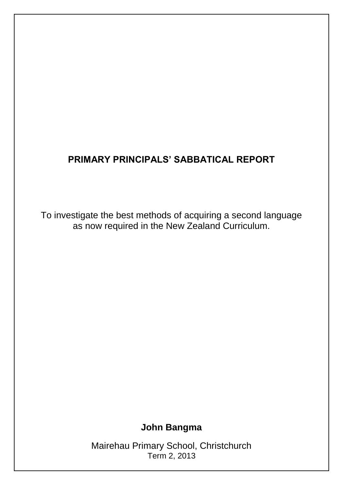## **PRIMARY PRINCIPALS' SABBATICAL REPORT**

To investigate the best methods of acquiring a second language as now required in the New Zealand Curriculum.

**John Bangma**

Mairehau Primary School, Christchurch Term 2, 2013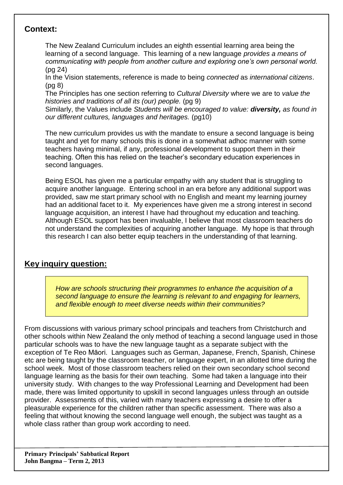## **Context:**

The New Zealand Curriculum includes an eighth essential learning area being the learning of a second language. This learning of a new language *provides a means of communicating with people from another culture and exploring one's own personal world.*  (pg 24)

In the Vision statements, reference is made to being *connected* as *international citizens*. (pg 8)

The Principles has one section referring to *Cultural Diversity* where we are to *value the histories and traditions of all its (our) people.* (pg 9)

Similarly, the Values include *Students will be encouraged to value: diversity, as found in our different cultures, languages and heritages.* (pg10)

The new curriculum provides us with the mandate to ensure a second language is being taught and yet for many schools this is done in a somewhat adhoc manner with some teachers having minimal, if any, professional development to support them in their teaching. Often this has relied on the teacher's secondary education experiences in second languages.

Being ESOL has given me a particular empathy with any student that is struggling to acquire another language. Entering school in an era before any additional support was provided, saw me start primary school with no English and meant my learning journey had an additional facet to it. My experiences have given me a strong interest in second language acquisition, an interest I have had throughout my education and teaching. Although ESOL support has been invaluable, I believe that most classroom teachers do not understand the complexities of acquiring another language. My hope is that through this research I can also better equip teachers in the understanding of that learning.

## **Key inquiry question:**

*How are schools structuring their programmes to enhance the acquisition of a second language to ensure the learning is relevant to and engaging for learners, and flexible enough to meet diverse needs within their communities?* 

From discussions with various primary school principals and teachers from Christchurch and other schools within New Zealand the only method of teaching a second language used in those particular schools was to have the new language taught as a separate subject with the exception of Te Reo Māori. Languages such as German, Japanese, French, Spanish, Chinese etc are being taught by the classroom teacher, or language expert, in an allotted time during the school week. Most of those classroom teachers relied on their own secondary school second language learning as the basis for their own teaching. Some had taken a language into their university study. With changes to the way Professional Learning and Development had been made, there was limited opportunity to upskill in second languages unless through an outside provider. Assessments of this, varied with many teachers expressing a desire to offer a pleasurable experience for the children rather than specific assessment. There was also a feeling that without knowing the second language well enough, the subject was taught as a whole class rather than group work according to need.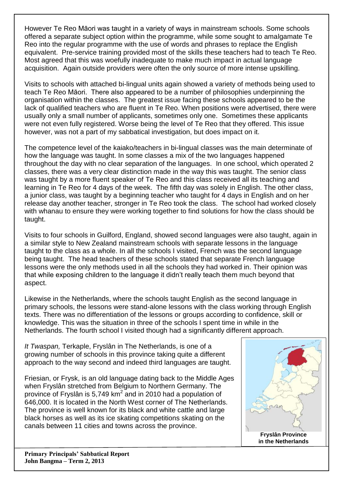However Te Reo Māori was taught in a variety of ways in mainstream schools. Some schools offered a separate subject option within the programme, while some sought to amalgamate Te Reo into the regular programme with the use of words and phrases to replace the English equivalent. Pre-service training provided most of the skills these teachers had to teach Te Reo. Most agreed that this was woefully inadequate to make much impact in actual language acquisition. Again outside providers were often the only source of more intense upskilling.

Visits to schools with attached bi-lingual units again showed a variety of methods being used to teach Te Reo Māori. There also appeared to be a number of philosophies underpinning the organisation within the classes. The greatest issue facing these schools appeared to be the lack of qualified teachers who are fluent in Te Reo. When positions were advertised, there were usually only a small number of applicants, sometimes only one. Sometimes these applicants were not even fully registered. Worse being the level of Te Reo that they offered. This issue however, was not a part of my sabbatical investigation, but does impact on it.

The competence level of the kaiako/teachers in bi-lingual classes was the main determinate of how the language was taught. In some classes a mix of the two languages happened throughout the day with no clear separation of the languages. In one school, which operated 2 classes, there was a very clear distinction made in the way this was taught. The senior class was taught by a more fluent speaker of Te Reo and this class received all its teaching and learning in Te Reo for 4 days of the week. The fifth day was solely in English. The other class, a junior class, was taught by a beginning teacher who taught for 4 days in English and on her release day another teacher, stronger in Te Reo took the class. The school had worked closely with whanau to ensure they were working together to find solutions for how the class should be taught.

Visits to four schools in Guilford, England, showed second languages were also taught, again in a similar style to New Zealand mainstream schools with separate lessons in the language taught to the class as a whole. In all the schools I visited, French was the second language being taught. The head teachers of these schools stated that separate French language lessons were the only methods used in all the schools they had worked in. Their opinion was that while exposing children to the language it didn't really teach them much beyond that aspect.

Likewise in the Netherlands, where the schools taught English as the second language in primary schools, the lessons were stand-alone lessons with the class working through English texts. There was no differentiation of the lessons or groups according to confidence, skill or knowledge. This was the situation in three of the schools I spent time in while in the Netherlands. The fourth school I visited though had a significantly different approach.

*It Twaspan,* Terkaple, Fryslân in The Netherlands, is one of a growing number of schools in this province taking quite a different approach to the way second and indeed third languages are taught.

Friesian, or Frysk, is an old language dating back to the Middle Ages when Fryslân stretched from Belgium to Northern Germany. The province of Fryslân is 5,749 km<sup>2</sup> and in 2010 had a population of 646,000. It is located in the North West corner of The Netherlands. The province is well known for its black and white cattle and large black horses as well as its ice skating competitions skating on the canals between 11 cities and towns across the province.



**Primary Principals' Sabbatical Report John Bangma – Term 2, 2013**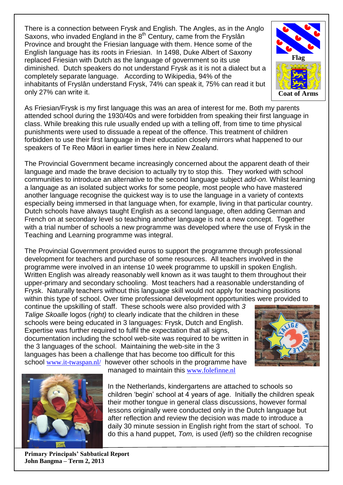There is a connection between Frysk and English. The Angles, as in the Anglo Saxons, who invaded England in the  $8<sup>th</sup>$  Century, came from the Fryslân Province and brought the Friesian language with them. Hence some of the English language has its roots in Friesian. In 1498, Duke Albert of Saxony replaced Friesian with Dutch as the language of government so its use diminished. Dutch speakers do not understand Frysk as it is not a dialect but a completely separate language. According to Wikipedia, 94% of the inhabitants of Fryslân understand Frysk, 74% can speak it, 75% can read it but only 27% can write it.



As Friesian/Frysk is my first language this was an area of interest for me. Both my parents attended school during the 1930/40s and were forbidden from speaking their first language in class. While breaking this rule usually ended up with a telling off, from time to time physical punishments were used to dissuade a repeat of the offence. This treatment of children forbidden to use their first language in their education closely mirrors what happened to our speakers of Te Reo Māori in earlier times here in New Zealand.

The Provincial Government became increasingly concerned about the apparent death of their language and made the brave decision to actually try to stop this. They worked with school communities to introduce an alternative to the second language subject *add-on.* Whilst learning a language as an isolated subject works for some people, most people who have mastered another language recognise the quickest way is to use the language in a variety of contexts especially being immersed in that language when, for example, living in that particular country. Dutch schools have always taught English as a second language, often adding German and French on at secondary level so teaching another language is not a new concept. Together with a trial number of schools a new programme was developed where the use of Frysk in the Teaching and Learning programme was integral.

The Provincial Government provided euros to support the programme through professional development for teachers and purchase of some resources. All teachers involved in the programme were involved in an intense 10 week programme to upskill in spoken English. Written English was already reasonably well known as it was taught to them throughout their upper-primary and secondary schooling. Most teachers had a reasonable understanding of Frysk. Naturally teachers without this language skill would not apply for teaching positions within this type of school. Over time professional development opportunities were provided to

continue the upskilling of staff. These schools were also provided with *3 Talige Skoalle* logos (*right)* to clearly indicate that the children in these schools were being educated in 3 languages: Frysk, Dutch and English. Expertise was further required to fulfil the expectation that all signs, documentation including the school web-site was required to be written in the 3 languages of the school. Maintaining the web-site in the 3 languages has been a challenge that has become too difficult for this school [www.it-twaspan.nl/](http://www.it-twaspan.nl/) however other schools in the programme have





managed to maintain this [www.folefinne.nl](http://www.folefinne.nl/)

In the Netherlands, kindergartens are attached to schools so children 'begin' school at 4 years of age. Initially the children speak their mother tongue in general class discussions, however formal lessons originally were conducted only in the Dutch language but after reflection and review the decision was made to introduce a daily 30 minute session in English right from the start of school. To do this a hand puppet, *Tom,* is used (*left*) so the children recognise

**Primary Principals' Sabbatical Report John Bangma – Term 2, 2013**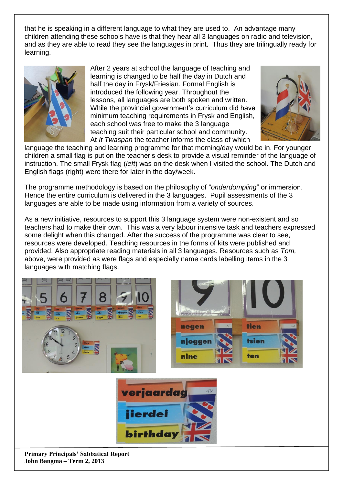that he is speaking in a different language to what they are used to. An advantage many children attending these schools have is that they hear all 3 languages on radio and television, and as they are able to read they see the languages in print. Thus they are trilingually ready for learning.



After 2 years at school the language of teaching and learning is changed to be half the day in Dutch and half the day in Frysk/Friesian. Formal English is introduced the following year. Throughout the lessons, all languages are both spoken and written. While the provincial government's curriculum did have minimum teaching requirements in Frysk and English, each school was free to make the 3 language teaching suit their particular school and community. At *It Twaspan* the teacher informs the class of which



language the teaching and learning programme for that morning/day would be in. For younger children a small flag is put on the teacher's desk to provide a visual reminder of the language of instruction. The small Frysk flag (*left*) was on the desk when I visited the school. The Dutch and English flags (right) were there for later in the day/week.

The programme methodology is based on the philosophy of "*onderdompling*" or immersion. Hence the entire curriculum is delivered in the 3 languages. Pupil assessments of the 3 languages are able to be made using information from a variety of sources.

As a new initiative, resources to support this 3 language system were non-existent and so teachers had to make their own. This was a very labour intensive task and teachers expressed some delight when this changed. After the success of the programme was clear to see, resources were developed. Teaching resources in the forms of kits were published and provided. Also appropriate reading materials in all 3 languages. Resources such as *Tom,*  above, were provided as were flags and especially name cards labelling items in the 3 languages with matching flags.



**John Bangma – Term 2, 2013**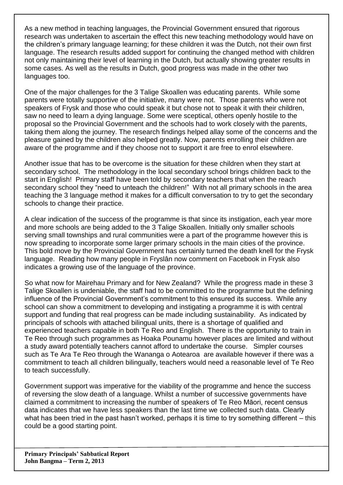As a new method in teaching languages, the Provincial Government ensured that rigorous research was undertaken to ascertain the effect this new teaching methodology would have on the children's primary language learning; for these children it was the Dutch, not their own first language. The research results added support for continuing the changed method with children not only maintaining their level of learning in the Dutch, but actually showing greater results in some cases. As well as the results in Dutch, good progress was made in the other two languages too.

One of the major challenges for the 3 Talige Skoallen was educating parents. While some parents were totally supportive of the initiative, many were not. Those parents who were not speakers of Frysk and those who could speak it but chose not to speak it with their children, saw no need to learn a dying language. Some were sceptical, others openly hostile to the proposal so the Provincial Government and the schools had to work closely with the parents, taking them along the journey. The research findings helped allay some of the concerns and the pleasure gained by the children also helped greatly. Now, parents enrolling their children are aware of the programme and if they choose not to support it are free to enrol elsewhere.

Another issue that has to be overcome is the situation for these children when they start at secondary school. The methodology in the local secondary school brings children back to the start in English! Primary staff have been told by secondary teachers that when the reach secondary school they "need to unteach the children!" With not all primary schools in the area teaching the 3 language method it makes for a difficult conversation to try to get the secondary schools to change their practice.

A clear indication of the success of the programme is that since its instigation, each year more and more schools are being added to the 3 Talige Skoallen. Initially only smaller schools serving small townships and rural communities were a part of the programme however this is now spreading to incorporate some larger primary schools in the main cities of the province. This bold move by the Provincial Government has certainly turned the death knell for the Frysk language. Reading how many people in Fryslân now comment on Facebook in Frysk also indicates a growing use of the language of the province.

So what now for Mairehau Primary and for New Zealand? While the progress made in these 3 Talige Skoallen is undeniable, the staff had to be committed to the programme but the defining influence of the Provincial Government's commitment to this ensured its success. While any school can show a commitment to developing and instigating a programme it is with central support and funding that real progress can be made including sustainability. As indicated by principals of schools with attached bilingual units, there is a shortage of qualified and experienced teachers capable in both Te Reo and English. There is the opportunity to train in Te Reo through such programmes as Hoaka Pounamu however places are limited and without a study award potentially teachers cannot afford to undertake the course. Simpler courses such as Te Ara Te Reo through the Wananga o Aotearoa are available however if there was a commitment to teach all children bilingually, teachers would need a reasonable level of Te Reo to teach successfully.

Government support was imperative for the viability of the programme and hence the success of reversing the slow death of a language. Whilst a number of successive governments have claimed a commitment to increasing the number of speakers of Te Reo Māori, recent census data indicates that we have less speakers than the last time we collected such data. Clearly what has been tried in the past hasn't worked, perhaps it is time to try something different – this could be a good starting point.